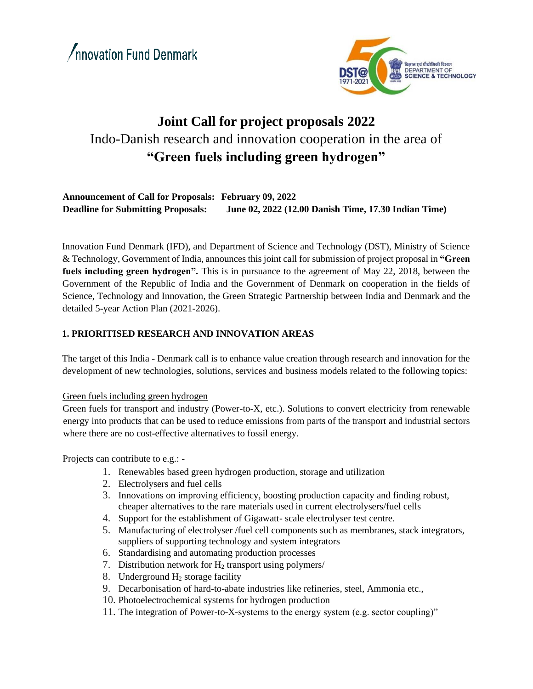

# **Joint Call for project proposals 2022** Indo-Danish research and innovation cooperation in the area of **"Green fuels including green hydrogen"**

## **Announcement of Call for Proposals: February 09, 2022 Deadline for Submitting Proposals: June 02, 2022 (12.00 Danish Time, 17.30 Indian Time)**

Innovation Fund Denmark (IFD), and Department of Science and Technology (DST), Ministry of Science & Technology, Government of India, announces this joint call for submission of project proposal in **"Green fuels including green hydrogen".** This is in pursuance to the agreement of May 22, 2018, between the Government of the Republic of India and the Government of Denmark on cooperation in the fields of Science, Technology and Innovation, the Green Strategic Partnership between India and Denmark and the detailed 5-year Action Plan (2021-2026).

## **1. PRIORITISED RESEARCH AND INNOVATION AREAS**

The target of this India - Denmark call is to enhance value creation through research and innovation for the development of new technologies, solutions, services and business models related to the following topics:

#### Green fuels including green hydrogen

Green fuels for transport and industry (Power-to-X, etc.). Solutions to convert electricity from renewable energy into products that can be used to reduce emissions from parts of the transport and industrial sectors where there are no cost-effective alternatives to fossil energy.

Projects can contribute to e.g.: -

- 1. Renewables based green hydrogen production, storage and utilization
- 2. Electrolysers and fuel cells
- 3. Innovations on improving efficiency, boosting production capacity and finding robust, cheaper alternatives to the rare materials used in current electrolysers/fuel cells
- 4. Support for the establishment of Gigawatt- scale electrolyser test centre.
- 5. Manufacturing of electrolyser /fuel cell components such as membranes, stack integrators, suppliers of supporting technology and system integrators
- 6. Standardising and automating production processes
- 7. Distribution network for  $H_2$  transport using polymers/
- 8. Underground  $H_2$  storage facility
- 9. Decarbonisation of hard-to-abate industries like refineries, steel, Ammonia etc.,
- 10. Photoelectrochemical systems for hydrogen production
- 11. The integration of Power-to-X-systems to the energy system (e.g. sector coupling)"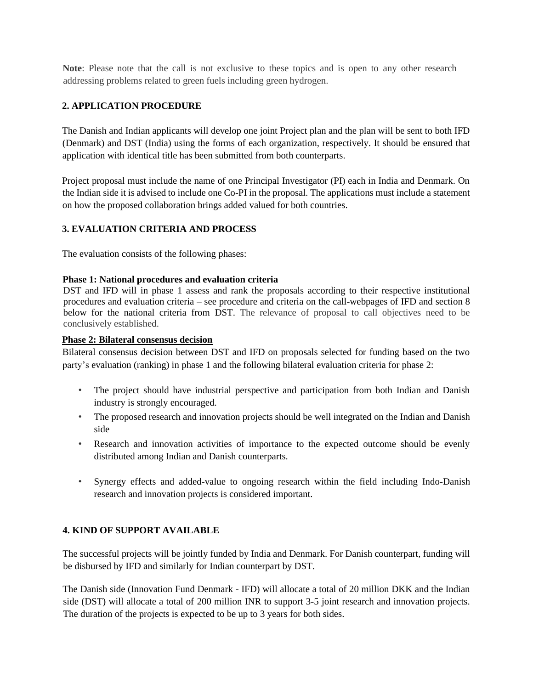**Note**: Please note that the call is not exclusive to these topics and is open to any other research addressing problems related to green fuels including green hydrogen.

## **2. APPLICATION PROCEDURE**

The Danish and Indian applicants will develop one joint Project plan and the plan will be sent to both IFD (Denmark) and DST (India) using the forms of each organization, respectively. It should be ensured that application with identical title has been submitted from both counterparts.

Project proposal must include the name of one Principal Investigator (PI) each in India and Denmark. On the Indian side it is advised to include one Co-PI in the proposal. The applications must include a statement on how the proposed collaboration brings added valued for both countries.

# **3. EVALUATION CRITERIA AND PROCESS**

The evaluation consists of the following phases:

#### **Phase 1: National procedures and evaluation criteria**

DST and IFD will in phase 1 assess and rank the proposals according to their respective institutional procedures and evaluation criteria – see procedure and criteria on the call-webpages of IFD and section 8 below for the national criteria from DST. The relevance of proposal to call objectives need to be conclusively established.

#### **Phase 2: Bilateral consensus decision**

Bilateral consensus decision between DST and IFD on proposals selected for funding based on the two party's evaluation (ranking) in phase 1 and the following bilateral evaluation criteria for phase 2:

- The project should have industrial perspective and participation from both Indian and Danish industry is strongly encouraged.
- The proposed research and innovation projects should be well integrated on the Indian and Danish side
- Research and innovation activities of importance to the expected outcome should be evenly distributed among Indian and Danish counterparts.
- Synergy effects and added-value to ongoing research within the field including Indo-Danish research and innovation projects is considered important.

## **4. KIND OF SUPPORT AVAILABLE**

The successful projects will be jointly funded by India and Denmark. For Danish counterpart, funding will be disbursed by IFD and similarly for Indian counterpart by DST.

The Danish side (Innovation Fund Denmark - IFD) will allocate a total of 20 million DKK and the Indian side (DST) will allocate a total of 200 million INR to support 3-5 joint research and innovation projects. The duration of the projects is expected to be up to 3 years for both sides.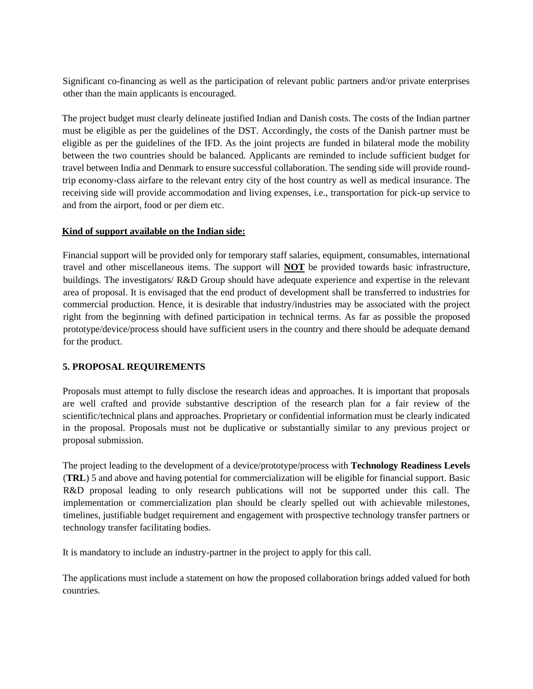Significant co-financing as well as the participation of relevant public partners and/or private enterprises other than the main applicants is encouraged.

The project budget must clearly delineate justified Indian and Danish costs. The costs of the Indian partner must be eligible as per the guidelines of the DST. Accordingly, the costs of the Danish partner must be eligible as per the guidelines of the IFD. As the joint projects are funded in bilateral mode the mobility between the two countries should be balanced. Applicants are reminded to include sufficient budget for travel between India and Denmark to ensure successful collaboration. The sending side will provide roundtrip economy-class airfare to the relevant entry city of the host country as well as medical insurance. The receiving side will provide accommodation and living expenses, i.e., transportation for pick-up service to and from the airport, food or per diem etc.

#### **Kind of support available on the Indian side:**

Financial support will be provided only for temporary staff salaries, equipment, consumables, international travel and other miscellaneous items. The support will **NOT** be provided towards basic infrastructure, buildings. The investigators/ R&D Group should have adequate experience and expertise in the relevant area of proposal. It is envisaged that the end product of development shall be transferred to industries for commercial production. Hence, it is desirable that industry/industries may be associated with the project right from the beginning with defined participation in technical terms. As far as possible the proposed prototype/device/process should have sufficient users in the country and there should be adequate demand for the product.

## **5. PROPOSAL REQUIREMENTS**

Proposals must attempt to fully disclose the research ideas and approaches. It is important that proposals are well crafted and provide substantive description of the research plan for a fair review of the scientific/technical plans and approaches. Proprietary or confidential information must be clearly indicated in the proposal. Proposals must not be duplicative or substantially similar to any previous project or proposal submission.

The project leading to the development of a device/prototype/process with **Technology Readiness Levels**  (**TRL**) 5 and above and having potential for commercialization will be eligible for financial support. Basic R&D proposal leading to only research publications will not be supported under this call. The implementation or commercialization plan should be clearly spelled out with achievable milestones, timelines, justifiable budget requirement and engagement with prospective technology transfer partners or technology transfer facilitating bodies.

It is mandatory to include an industry-partner in the project to apply for this call.

The applications must include a statement on how the proposed collaboration brings added valued for both countries.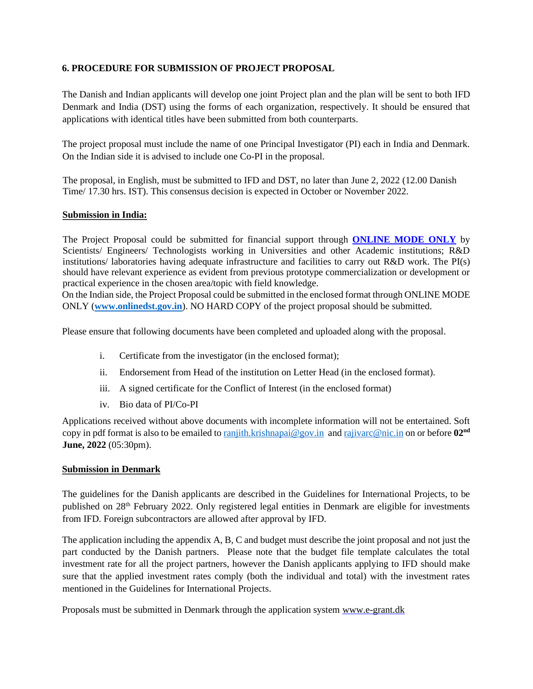#### **6. PROCEDURE FOR SUBMISSION OF PROJECT PROPOSAL**

The Danish and Indian applicants will develop one joint Project plan and the plan will be sent to both IFD Denmark and India (DST) using the forms of each organization, respectively. It should be ensured that applications with identical titles have been submitted from both counterparts.

The project proposal must include the name of one Principal Investigator (PI) each in India and Denmark. On the Indian side it is advised to include one Co-PI in the proposal.

The proposal, in English, must be submitted to IFD and DST, no later than June 2, 2022 (12.00 Danish Time/ 17.30 hrs. IST). This consensus decision is expected in October or November 2022.

#### **Submission in India:**

The Project Proposal could be submitted for financial support through **ONLINE MODE ONLY** by Scientists/ Engineers/ Technologists working in Universities and other Academic institutions; R&D institutions/ laboratories having adequate infrastructure and facilities to carry out R&D work. The PI(s) should have relevant experience as evident from previous prototype commercialization or development or practical experience in the chosen area/topic with field knowledge.

On the Indian side, the Project Proposal could be submitted in the enclosed format through ONLINE MODE ONLY (**[www.onlinedst.gov.in](http://www.onlinedst.gov.in/)**). NO HARD COPY of the project proposal should be submitted.

Please ensure that following documents have been completed and uploaded along with the proposal.

- i. Certificate from the investigator (in the enclosed format);
- ii. Endorsement from Head of the institution on Letter Head (in the enclosed format).
- iii. A signed certificate for the Conflict of Interest (in the enclosed format)
- iv. Bio data of PI/Co-PI

Applications received without above documents with incomplete information will not be entertained. Soft copy in pdf format is also to be emailed to **ranjith.krishnapai@gov.in** and [rajivarc@nic.in](mailto:rajivarc@nic.in) on or before 02<sup>nd</sup> **June, 2022** (05:30pm).

#### **Submission in Denmark**

The guidelines for the Danish applicants are described in the Guidelines for International Projects, to be published on 28th February 2022. Only registered legal entities in Denmark are eligible for investments from IFD. Foreign subcontractors are allowed after approval by IFD.

The application including the appendix A, B, C and budget must describe the joint proposal and not just the part conducted by the Danish partners. Please note that the budget file template calculates the total investment rate for all the project partners, however the Danish applicants applying to IFD should make sure that the applied investment rates comply (both the individual and total) with the investment rates mentioned in the Guidelines for International Projects.

Proposals must be submitted in Denmark through the application system www.e-grant.dk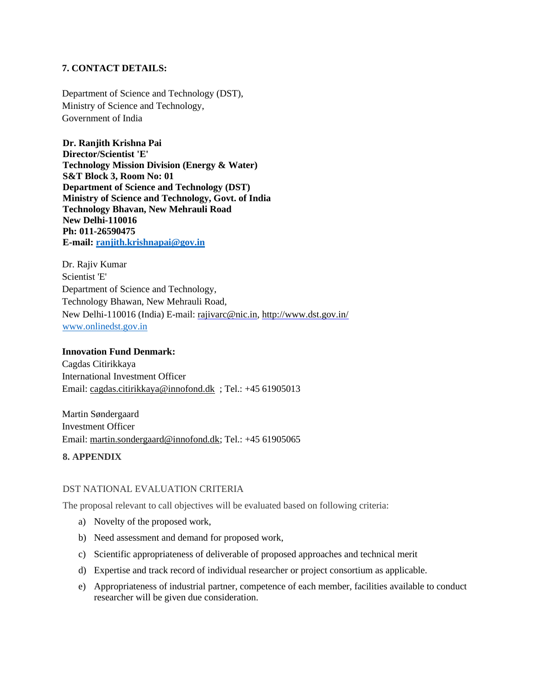#### **7. CONTACT DETAILS:**

Department of Science and Technology (DST), Ministry of Science and Technology, Government of India

**Dr. Ranjith Krishna Pai Director/Scientist 'E' Technology Mission Division (Energy & Water) S&T Block 3, Room No: 01 Department of Science and Technology (DST) Ministry of Science and Technology, Govt. of India Technology Bhavan, New Mehrauli Road New Delhi-110016 Ph: 011-26590475 E-mail: [ranjith.krishnapai@gov.in](mailto:ranjith.krishnapai@gov.in)**

Dr. Rajiv Kumar Scientist 'E' Department of Science and Technology, Technology Bhawan, New Mehrauli Road, New Delhi-110016 (India) E-mail: rajivarc@nic.in, http://www.dst.gov.in/ [www.onlinedst.gov.in](http://www.onlinedst.gov.in/)

#### **Innovation Fund Denmark:**

Cagdas Citirikkaya International Investment Officer Email: [cagdas.citirikkaya@innofond.dk](mailto:cagdas.citirikkaya@innofond.dk) ; Tel.: +45 61905013

Martin Søndergaard Investment Officer Email: [martin.sondergaard@innofond.dk;](mailto:martin.sondergaard@innofond.dk) Tel.: +45 61905065

#### **8. APPENDIX**

#### DST NATIONAL EVALUATION CRITERIA

The proposal relevant to call objectives will be evaluated based on following criteria:

- a) Novelty of the proposed work,
- b) Need assessment and demand for proposed work,
- c) Scientific appropriateness of deliverable of proposed approaches and technical merit
- d) Expertise and track record of individual researcher or project consortium as applicable.
- e) Appropriateness of industrial partner, competence of each member, facilities available to conduct researcher will be given due consideration.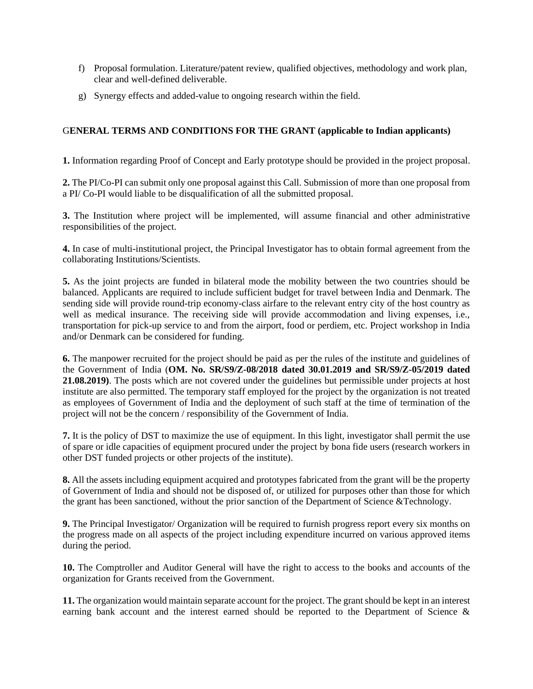- f) Proposal formulation. Literature/patent review, qualified objectives, methodology and work plan, clear and well-defined deliverable.
- g) Synergy effects and added-value to ongoing research within the field.

## G**ENERAL TERMS AND CONDITIONS FOR THE GRANT (applicable to Indian applicants)**

**1.** Information regarding Proof of Concept and Early prototype should be provided in the project proposal.

**2.** The PI/Co-PI can submit only one proposal against this Call. Submission of more than one proposal from a PI/ Co-PI would liable to be disqualification of all the submitted proposal.

**3.** The Institution where project will be implemented, will assume financial and other administrative responsibilities of the project.

**4.** In case of multi-institutional project, the Principal Investigator has to obtain formal agreement from the collaborating Institutions/Scientists.

**5.** As the joint projects are funded in bilateral mode the mobility between the two countries should be balanced. Applicants are required to include sufficient budget for travel between India and Denmark. The sending side will provide round-trip economy-class airfare to the relevant entry city of the host country as well as medical insurance. The receiving side will provide accommodation and living expenses, i.e., transportation for pick-up service to and from the airport, food or perdiem, etc. Project workshop in India and/or Denmark can be considered for funding.

**6.** The manpower recruited for the project should be paid as per the rules of the institute and guidelines of the Government of India (**OM. No. SR/S9/Z-08/2018 dated 30.01.2019 and SR/S9/Z-05/2019 dated 21.08.2019)**. The posts which are not covered under the guidelines but permissible under projects at host institute are also permitted. The temporary staff employed for the project by the organization is not treated as employees of Government of India and the deployment of such staff at the time of termination of the project will not be the concern / responsibility of the Government of India.

**7.** It is the policy of DST to maximize the use of equipment. In this light, investigator shall permit the use of spare or idle capacities of equipment procured under the project by bona fide users (research workers in other DST funded projects or other projects of the institute).

**8.** All the assets including equipment acquired and prototypes fabricated from the grant will be the property of Government of India and should not be disposed of, or utilized for purposes other than those for which the grant has been sanctioned, without the prior sanction of the Department of Science &Technology.

**9.** The Principal Investigator/ Organization will be required to furnish progress report every six months on the progress made on all aspects of the project including expenditure incurred on various approved items during the period.

**10.** The Comptroller and Auditor General will have the right to access to the books and accounts of the organization for Grants received from the Government.

**11.** The organization would maintain separate account for the project. The grant should be kept in an interest earning bank account and the interest earned should be reported to the Department of Science &